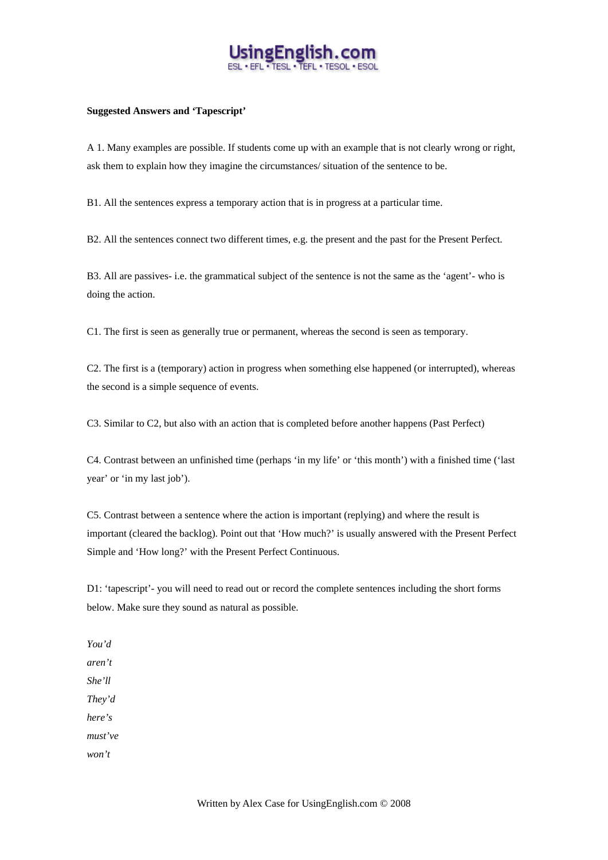

## **Suggested Answers and 'Tapescript'**

A 1. Many examples are possible. If students come up with an example that is not clearly wrong or right, ask them to explain how they imagine the circumstances/ situation of the sentence to be.

B1. All the sentences express a temporary action that is in progress at a particular time.

B2. All the sentences connect two different times, e.g. the present and the past for the Present Perfect.

B3. All are passives- i.e. the grammatical subject of the sentence is not the same as the 'agent'- who is doing the action.

C1. The first is seen as generally true or permanent, whereas the second is seen as temporary.

C2. The first is a (temporary) action in progress when something else happened (or interrupted), whereas the second is a simple sequence of events.

C3. Similar to C2, but also with an action that is completed before another happens (Past Perfect)

C4. Contrast between an unfinished time (perhaps 'in my life' or 'this month') with a finished time ('last year' or 'in my last job').

C5. Contrast between a sentence where the action is important (replying) and where the result is important (cleared the backlog). Point out that 'How much?' is usually answered with the Present Perfect Simple and 'How long?' with the Present Perfect Continuous.

D1: 'tapescript'- you will need to read out or record the complete sentences including the short forms below. Make sure they sound as natural as possible.

*You'd aren't She'll They'd here's must've* 

*won't*